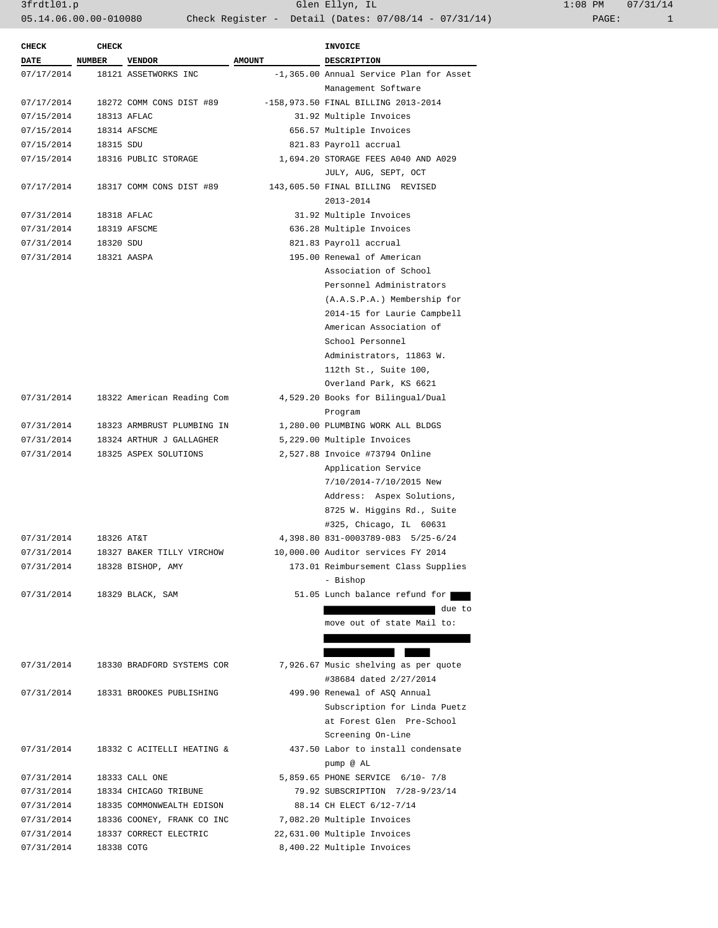3frdtl01.p Glen Ellyn, IL 1:08 PM 07/31/14 05.14.06.00.00-010080 Check Register - Detail (Dates: 07/08/14 - 07/31/14)

| <b>CHECK</b> | <b>CHECK</b>  |                                                                   |               | INVOICE                                         |
|--------------|---------------|-------------------------------------------------------------------|---------------|-------------------------------------------------|
| <b>DATE</b>  | <b>NUMBER</b> | <b>VENDOR</b>                                                     | <b>AMOUNT</b> | DESCRIPTION                                     |
| 07/17/2014   |               | 18121 ASSETWORKS INC                                              |               | -1,365.00 Annual Service Plan for Asset         |
|              |               |                                                                   |               | Management Software                             |
| 07/17/2014   |               | 18272 COMM CONS DIST #89<br>$-158,973.50$ FINAL BILLING 2013-2014 |               |                                                 |
| 07/15/2014   |               | 18313 AFLAC                                                       |               | 31.92 Multiple Invoices                         |
| 07/15/2014   |               | 18314 AFSCME                                                      |               | 656.57 Multiple Invoices                        |
| 07/15/2014   | 18315 SDU     |                                                                   |               | 821.83 Payroll accrual                          |
| 07/15/2014   |               | 18316 PUBLIC STORAGE                                              |               | 1,694.20 STORAGE FEES A040 AND A029             |
|              |               |                                                                   |               | JULY, AUG, SEPT, OCT                            |
| 07/17/2014   |               | 18317 COMM CONS DIST #89                                          |               | 143,605.50 FINAL BILLING REVISED                |
|              |               |                                                                   |               | 2013-2014                                       |
| 07/31/2014   |               | 18318 AFLAC                                                       |               | 31.92 Multiple Invoices                         |
| 07/31/2014   |               | 18319 AFSCME                                                      |               | 636.28 Multiple Invoices                        |
| 07/31/2014   | 18320 SDU     |                                                                   |               | 821.83 Payroll accrual                          |
| 07/31/2014   |               | 18321 AASPA                                                       |               | 195.00 Renewal of American                      |
|              |               |                                                                   |               | Association of School                           |
|              |               |                                                                   |               | Personnel Administrators                        |
|              |               |                                                                   |               | (A.A.S.P.A.) Membership for                     |
|              |               |                                                                   |               | 2014-15 for Laurie Campbell                     |
|              |               |                                                                   |               | American Association of                         |
|              |               |                                                                   |               | School Personnel                                |
|              |               |                                                                   |               | Administrators, 11863 W.                        |
|              |               |                                                                   |               | 112th St., Suite 100,                           |
|              |               |                                                                   |               | Overland Park, KS 6621                          |
| 07/31/2014   |               | 18322 American Reading Com                                        |               | 4,529.20 Books for Bilingual/Dual               |
|              |               |                                                                   |               | Program                                         |
| 07/31/2014   |               | 18323 ARMBRUST PLUMBING IN                                        |               | 1,280.00 PLUMBING WORK ALL BLDGS                |
| 07/31/2014   |               | 18324 ARTHUR J GALLAGHER                                          |               | 5,229.00 Multiple Invoices                      |
| 07/31/2014   |               | 18325 ASPEX SOLUTIONS                                             |               | 2,527.88 Invoice #73794 Online                  |
|              |               |                                                                   |               | Application Service                             |
|              |               |                                                                   |               | 7/10/2014-7/10/2015 New                         |
|              |               |                                                                   |               | Address: Aspex Solutions,                       |
|              |               |                                                                   |               | 8725 W. Higgins Rd., Suite                      |
|              |               |                                                                   |               | #325, Chicago, IL 60631                         |
| 07/31/2014   | 18326 AT&T    |                                                                   |               | 4,398.80 831-0003789-083 5/25-6/24              |
| 07/31/2014   |               | 18327 BAKER TILLY VIRCHOW                                         |               | 10,000.00 Auditor services FY 2014              |
| 07/31/2014   |               | 18328 BISHOP, AMY                                                 |               | 173.01 Reimbursement Class Supplies<br>- Bishop |
| 07/31/2014   |               | 18329 BLACK, SAM                                                  |               | 51.05 Lunch balance refund for                  |
|              |               |                                                                   |               | due to                                          |
|              |               |                                                                   |               | move out of state Mail to:                      |
|              |               |                                                                   |               |                                                 |
|              |               |                                                                   |               |                                                 |
| 07/31/2014   |               | 18330 BRADFORD SYSTEMS COR                                        |               | 7,926.67 Music shelving as per quote            |
|              |               |                                                                   |               | #38684 dated 2/27/2014                          |
| 07/31/2014   |               | 18331 BROOKES PUBLISHING                                          |               | 499.90 Renewal of ASO Annual                    |
|              |               |                                                                   |               | Subscription for Linda Puetz                    |
|              |               |                                                                   |               | at Forest Glen Pre-School                       |
|              |               |                                                                   |               | Screening On-Line                               |
| 07/31/2014   |               | 18332 C ACITELLI HEATING &                                        |               | 437.50 Labor to install condensate              |
|              |               |                                                                   |               | pump @ AL                                       |
| 07/31/2014   |               | 18333 CALL ONE                                                    |               | 5,859.65 PHONE SERVICE 6/10- 7/8                |
| 07/31/2014   |               | 18334 CHICAGO TRIBUNE                                             |               | 79.92 SUBSCRIPTION 7/28-9/23/14                 |
| 07/31/2014   |               | 18335 COMMONWEALTH EDISON                                         |               | 88.14 CH ELECT 6/12-7/14                        |
| 07/31/2014   |               | 18336 COONEY, FRANK CO INC                                        |               | 7,082.20 Multiple Invoices                      |
| 07/31/2014   |               | 18337 CORRECT ELECTRIC                                            |               | 22,631.00 Multiple Invoices                     |
| 07/31/2014   | 18338 COTG    |                                                                   |               | 8,400.22 Multiple Invoices                      |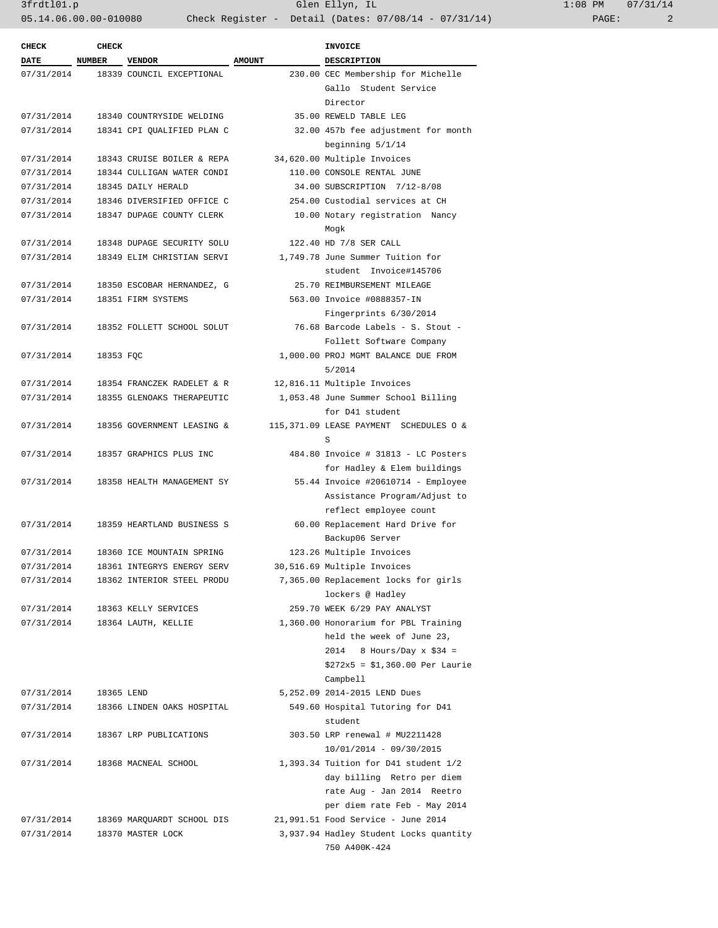3frdtl01.p Glen Ellyn, IL 1:08 PM 07/31/14 05.14.06.00.00-010080 Check Register - Detail (Dates: 07/08/14 - 07/31/14)

| <b>CHECK</b> | CHECK         |                            |               | <b>INVOICE</b>                         |
|--------------|---------------|----------------------------|---------------|----------------------------------------|
| <b>DATE</b>  | <b>NUMBER</b> | <b>VENDOR</b>              | <b>AMOUNT</b> | <b>DESCRIPTION</b>                     |
| 07/31/2014   |               | 18339 COUNCIL EXCEPTIONAL  |               | 230.00 CEC Membership for Michelle     |
|              |               |                            |               | Gallo Student Service                  |
|              |               |                            |               | Director                               |
| 07/31/2014   |               | 18340 COUNTRYSIDE WELDING  |               | 35.00 REWELD TABLE LEG                 |
| 07/31/2014   |               | 18341 CPI QUALIFIED PLAN C |               | 32.00 457b fee adjustment for month    |
|              |               |                            |               | beginning 5/1/14                       |
| 07/31/2014   |               | 18343 CRUISE BOILER & REPA |               | 34,620.00 Multiple Invoices            |
|              |               | 18344 CULLIGAN WATER CONDI |               |                                        |
| 07/31/2014   |               |                            |               | 110.00 CONSOLE RENTAL JUNE             |
| 07/31/2014   |               | 18345 DAILY HERALD         |               | 34.00 SUBSCRIPTION 7/12-8/08           |
| 07/31/2014   |               | 18346 DIVERSIFIED OFFICE C |               | 254.00 Custodial services at CH        |
| 07/31/2014   |               | 18347 DUPAGE COUNTY CLERK  |               | 10.00 Notary registration Nancy        |
|              |               |                            |               | Mogk                                   |
| 07/31/2014   |               | 18348 DUPAGE SECURITY SOLU |               | 122.40 HD 7/8 SER CALL                 |
| 07/31/2014   |               | 18349 ELIM CHRISTIAN SERVI |               | 1,749.78 June Summer Tuition for       |
|              |               |                            |               | student Invoice#145706                 |
| 07/31/2014   |               | 18350 ESCOBAR HERNANDEZ, G |               | 25.70 REIMBURSEMENT MILEAGE            |
| 07/31/2014   |               | 18351 FIRM SYSTEMS         |               | 563.00 Invoice #0888357-IN             |
|              |               |                            |               | Fingerprints 6/30/2014                 |
| 07/31/2014   |               | 18352 FOLLETT SCHOOL SOLUT |               | 76.68 Barcode Labels - S. Stout -      |
|              |               |                            |               | Follett Software Company               |
| 07/31/2014   | 18353 FQC     |                            |               | 1,000.00 PROJ MGMT BALANCE DUE FROM    |
|              |               |                            |               | 5/2014                                 |
| 07/31/2014   |               | 18354 FRANCZEK RADELET & R |               | 12,816.11 Multiple Invoices            |
| 07/31/2014   |               | 18355 GLENOAKS THERAPEUTIC |               | 1,053.48 June Summer School Billing    |
|              |               |                            |               | for D41 student                        |
| 07/31/2014   |               | 18356 GOVERNMENT LEASING & |               | 115,371.09 LEASE PAYMENT SCHEDULES O & |
|              |               |                            |               | S                                      |
| 07/31/2014   |               | 18357 GRAPHICS PLUS INC    |               | 484.80 Invoice # 31813 - LC Posters    |
|              |               |                            |               | for Hadley & Elem buildings            |
| 07/31/2014   |               | 18358 HEALTH MANAGEMENT SY |               | 55.44 Invoice #20610714 - Employee     |
|              |               |                            |               | Assistance Program/Adjust to           |
|              |               |                            |               | reflect employee count                 |
|              |               |                            |               |                                        |
| 07/31/2014   |               | 18359 HEARTLAND BUSINESS S |               | 60.00 Replacement Hard Drive for       |
|              |               |                            |               | Backup06 Server                        |
| 07/31/2014   |               | 18360 ICE MOUNTAIN SPRING  |               | 123.26 Multiple Invoices               |
| 07/31/2014   |               | 18361 INTEGRYS ENERGY SERV |               | 30,516.69 Multiple Invoices            |
| 07/31/2014   |               | 18362 INTERIOR STEEL PRODU |               | 7,365.00 Replacement locks for girls   |
|              |               |                            |               | lockers @ Hadley                       |
| 07/31/2014   |               | 18363 KELLY SERVICES       |               | 259.70 WEEK 6/29 PAY ANALYST           |
| 07/31/2014   |               | 18364 LAUTH, KELLIE        |               | 1,360.00 Honorarium for PBL Training   |
|              |               |                            |               | held the week of June 23,              |
|              |               |                            |               | 2014<br>8 Hours/Day $x$ \$34 =         |
|              |               |                            |               | $$272x5 = $1,360.00$ Per Laurie        |
|              |               |                            |               | Campbell                               |
| 07/31/2014   | 18365 LEND    |                            |               | 5,252.09 2014-2015 LEND Dues           |
| 07/31/2014   |               | 18366 LINDEN OAKS HOSPITAL |               | 549.60 Hospital Tutoring for D41       |
|              |               |                            |               | student                                |
| 07/31/2014   |               | 18367 LRP PUBLICATIONS     |               | 303.50 LRP renewal # MU2211428         |
|              |               |                            |               | $10/01/2014 - 09/30/2015$              |
| 07/31/2014   |               | 18368 MACNEAL SCHOOL       |               | 1,393.34 Tuition for D41 student 1/2   |
|              |               |                            |               | day billing Retro per diem             |
|              |               |                            |               | rate Aug - Jan 2014 Reetro             |
|              |               |                            |               |                                        |
|              |               |                            |               | per diem rate Feb - May 2014           |
| 07/31/2014   |               | 18369 MARQUARDT SCHOOL DIS |               | 21,991.51 Food Service - June 2014     |
| 07/31/2014   |               | 18370 MASTER LOCK          |               | 3,937.94 Hadley Student Locks quantity |
|              |               |                            |               | 750 A400K-424                          |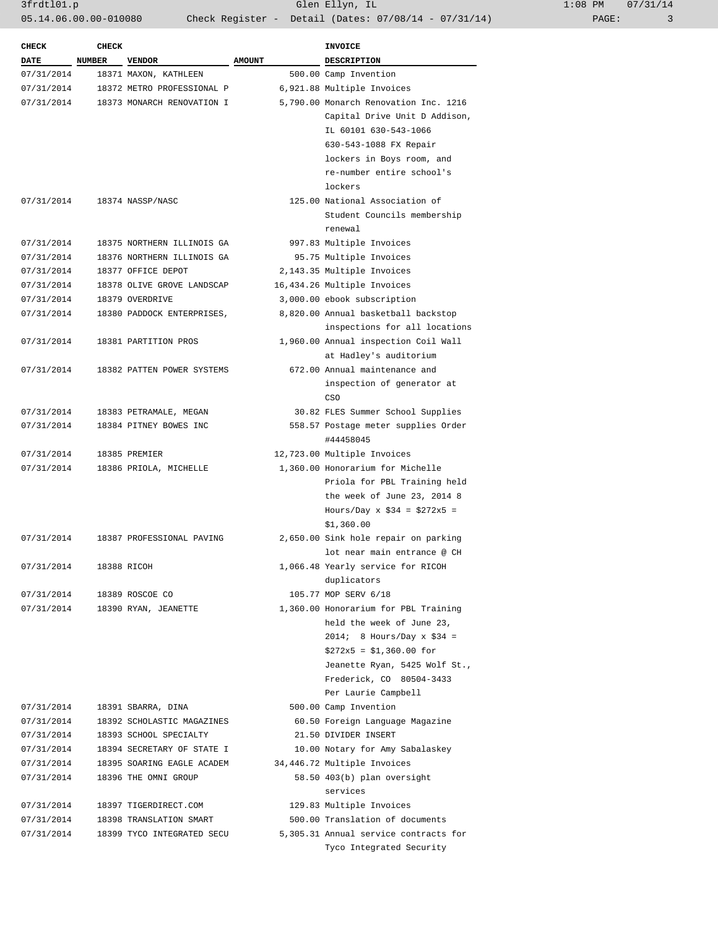3frdtl01.p Glen Ellyn, IL 1:08 PM 07/31/14 05.14.06.00.00-010080 Check Register - Detail (Dates: 07/08/14 - 07/31/14) PAGE: 3

| <b>CHECK</b> | <b>CHECK</b> |                            |               | <b>INVOICE</b>                        |
|--------------|--------------|----------------------------|---------------|---------------------------------------|
| <b>DATE</b>  | NUMBER       | <b>VENDOR</b>              | <b>AMOUNT</b> | <b>DESCRIPTION</b>                    |
| 07/31/2014   |              | 18371 MAXON, KATHLEEN      |               | 500.00 Camp Invention                 |
| 07/31/2014   |              | 18372 METRO PROFESSIONAL P |               | 6,921.88 Multiple Invoices            |
| 07/31/2014   |              | 18373 MONARCH RENOVATION I |               | 5,790.00 Monarch Renovation Inc. 1216 |
|              |              |                            |               | Capital Drive Unit D Addison,         |
|              |              |                            |               | IL 60101 630-543-1066                 |
|              |              |                            |               | 630-543-1088 FX Repair                |
|              |              |                            |               | lockers in Boys room, and             |
|              |              |                            |               | re-number entire school's             |
|              |              |                            |               | lockers                               |
| 07/31/2014   |              | 18374 NASSP/NASC           |               | 125.00 National Association of        |
|              |              |                            |               | Student Councils membership           |
|              |              |                            |               | renewal                               |
| 07/31/2014   |              | 18375 NORTHERN ILLINOIS GA |               | 997.83 Multiple Invoices              |
| 07/31/2014   |              | 18376 NORTHERN ILLINOIS GA |               | 95.75 Multiple Invoices               |
| 07/31/2014   |              | 18377 OFFICE DEPOT         |               | 2,143.35 Multiple Invoices            |
| 07/31/2014   |              | 18378 OLIVE GROVE LANDSCAP |               | 16,434.26 Multiple Invoices           |
| 07/31/2014   |              | 18379 OVERDRIVE            |               | 3,000.00 ebook subscription           |
| 07/31/2014   |              | 18380 PADDOCK ENTERPRISES, |               | 8,820.00 Annual basketball backstop   |
|              |              |                            |               | inspections for all locations         |
| 07/31/2014   |              | 18381 PARTITION PROS       |               | 1,960.00 Annual inspection Coil Wall  |
|              |              |                            |               | at Hadley's auditorium                |
| 07/31/2014   |              | 18382 PATTEN POWER SYSTEMS |               | 672.00 Annual maintenance and         |
|              |              |                            |               | inspection of generator at            |
|              |              |                            |               | CSO                                   |
| 07/31/2014   |              | 18383 PETRAMALE, MEGAN     |               | 30.82 FLES Summer School Supplies     |
| 07/31/2014   |              | 18384 PITNEY BOWES INC     |               | 558.57 Postage meter supplies Order   |
|              |              |                            |               | #44458045                             |
| 07/31/2014   |              | 18385 PREMIER              |               | 12,723.00 Multiple Invoices           |
| 07/31/2014   |              | 18386 PRIOLA, MICHELLE     |               | 1,360.00 Honorarium for Michelle      |
|              |              |                            |               | Priola for PBL Training held          |
|              |              |                            |               | the week of June 23, 2014 8           |
|              |              |                            |               | Hours/Day x $$34 = $272x5 =$          |
|              |              |                            |               | \$1,360.00                            |
| 07/31/2014   |              | 18387 PROFESSIONAL PAVING  |               | 2,650.00 Sink hole repair on parking  |
|              |              |                            |               | lot near main entrance @ CH           |
| 07/31/2014   |              | 18388 RICOH                |               | 1,066.48 Yearly service for RICOH     |
|              |              |                            |               | duplicators                           |
| 07/31/2014   |              | 18389 ROSCOE CO            |               | 105.77 MOP SERV 6/18                  |
| 07/31/2014   |              | 18390 RYAN, JEANETTE       |               | 1,360.00 Honorarium for PBL Training  |
|              |              |                            |               | held the week of June 23,             |
|              |              |                            |               | $2014: 8$ Hours/Day x \$34 =          |
|              |              |                            |               | $$272x5 = $1,360.00 for$              |
|              |              |                            |               | Jeanette Ryan, 5425 Wolf St.,         |
|              |              |                            |               | Frederick, CO 80504-3433              |
|              |              |                            |               | Per Laurie Campbell                   |
| 07/31/2014   |              | 18391 SBARRA, DINA         |               | 500.00 Camp Invention                 |
| 07/31/2014   |              | 18392 SCHOLASTIC MAGAZINES |               | 60.50 Foreign Language Magazine       |
| 07/31/2014   |              | 18393 SCHOOL SPECIALTY     |               | 21.50 DIVIDER INSERT                  |
| 07/31/2014   |              | 18394 SECRETARY OF STATE I |               | 10.00 Notary for Amy Sabalaskey       |
| 07/31/2014   |              | 18395 SOARING EAGLE ACADEM |               | 34,446.72 Multiple Invoices           |
| 07/31/2014   |              | 18396 THE OMNI GROUP       |               | 58.50 403(b) plan oversight           |
|              |              |                            |               | services                              |
| 07/31/2014   |              | 18397 TIGERDIRECT.COM      |               | 129.83 Multiple Invoices              |
| 07/31/2014   |              | 18398 TRANSLATION SMART    |               | 500.00 Translation of documents       |
| 07/31/2014   |              | 18399 TYCO INTEGRATED SECU |               | 5,305.31 Annual service contracts for |
|              |              |                            |               | Tyco Integrated Security              |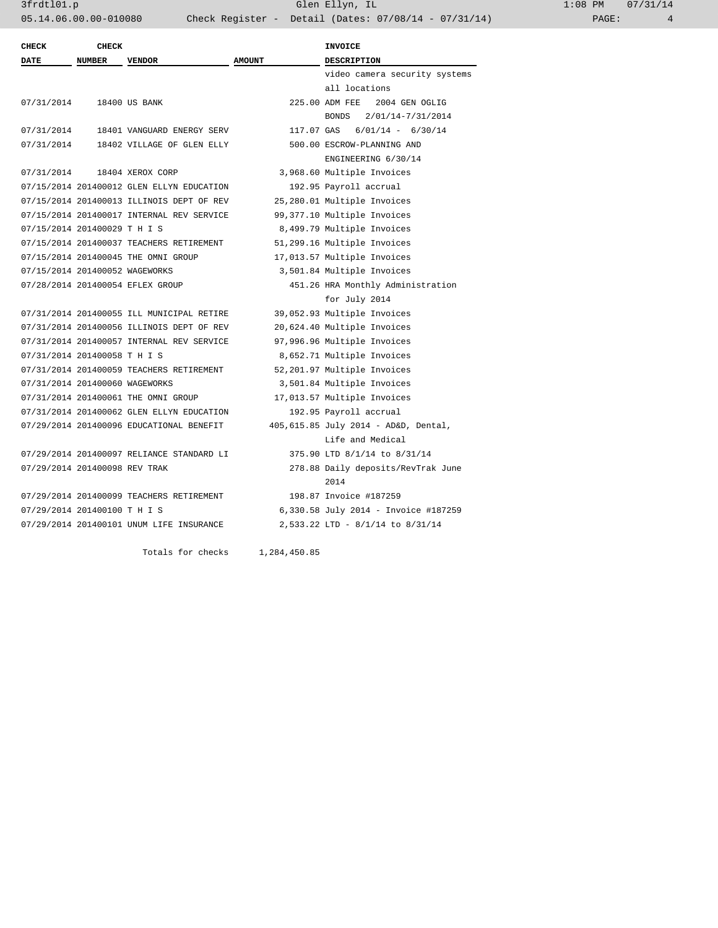| $1:08$ PM |       | 07/31/14 |
|-----------|-------|----------|
|           | PAGE: | 4        |

| <b>CHECK</b>                   | <b>CHECK</b>  |                                           |               | <b>INVOICE</b>                       |
|--------------------------------|---------------|-------------------------------------------|---------------|--------------------------------------|
| <b>DATE</b>                    | <b>NUMBER</b> | <b>VENDOR</b>                             | <b>AMOUNT</b> | <b>DESCRIPTION</b>                   |
|                                |               |                                           |               | video camera security systems        |
|                                |               |                                           |               | all locations                        |
| 07/31/2014                     |               | 18400 US BANK                             |               | 225.00 ADM FEE<br>2004 GEN OGLIG     |
|                                |               |                                           |               | 2/01/14-7/31/2014<br><b>BONDS</b>    |
| 07/31/2014                     |               | 18401 VANGUARD ENERGY SERV                | 117.07 GAS    | $6/01/14 - 6/30/14$                  |
| 07/31/2014                     |               | 18402 VILLAGE OF GLEN ELLY                |               | 500.00 ESCROW-PLANNING AND           |
|                                |               |                                           |               | ENGINEERING 6/30/14                  |
| 07/31/2014                     |               | 18404 XEROX CORP                          |               | 3,968.60 Multiple Invoices           |
|                                |               | 07/15/2014 201400012 GLEN ELLYN EDUCATION |               | 192.95 Payroll accrual               |
|                                |               | 07/15/2014 201400013 ILLINOIS DEPT OF REV |               | 25,280.01 Multiple Invoices          |
|                                |               | 07/15/2014 201400017 INTERNAL REV SERVICE |               | 99,377.10 Multiple Invoices          |
| 07/15/2014 201400029 T H I S   |               |                                           |               | 8,499.79 Multiple Invoices           |
|                                |               | 07/15/2014 201400037 TEACHERS RETIREMENT  |               | 51,299.16 Multiple Invoices          |
|                                |               | 07/15/2014 201400045 THE OMNI GROUP       |               | 17,013.57 Multiple Invoices          |
| 07/15/2014 201400052 WAGEWORKS |               |                                           |               | 3,501.84 Multiple Invoices           |
|                                |               | 07/28/2014 201400054 EFLEX GROUP          |               | 451.26 HRA Monthly Administration    |
|                                |               |                                           |               | for July 2014                        |
|                                |               | 07/31/2014 201400055 ILL MUNICIPAL RETIRE |               | 39,052.93 Multiple Invoices          |
|                                |               | 07/31/2014 201400056 ILLINOIS DEPT OF REV |               | 20,624.40 Multiple Invoices          |
|                                |               | 07/31/2014 201400057 INTERNAL REV SERVICE |               | 97,996.96 Multiple Invoices          |
| 07/31/2014 201400058 T H I S   |               |                                           |               | 8,652.71 Multiple Invoices           |
|                                |               | 07/31/2014 201400059 TEACHERS RETIREMENT  |               | 52,201.97 Multiple Invoices          |
| 07/31/2014 201400060 WAGEWORKS |               |                                           |               | 3,501.84 Multiple Invoices           |
|                                |               | 07/31/2014 201400061 THE OMNI GROUP       |               | 17,013.57 Multiple Invoices          |
|                                |               | 07/31/2014 201400062 GLEN ELLYN EDUCATION |               | 192.95 Payroll accrual               |
|                                |               | 07/29/2014 201400096 EDUCATIONAL BENEFIT  |               | 405,615.85 July 2014 - AD&D, Dental, |
|                                |               |                                           |               | Life and Medical                     |
|                                |               | 07/29/2014 201400097 RELIANCE STANDARD LI |               | 375.90 LTD 8/1/14 to 8/31/14         |
| 07/29/2014 201400098 REV TRAK  |               |                                           |               | 278.88 Daily deposits/RevTrak June   |
|                                |               |                                           |               | 2014                                 |
|                                |               | 07/29/2014 201400099 TEACHERS RETIREMENT  |               | 198.87 Invoice #187259               |
| 07/29/2014 201400100 TH IS     |               |                                           |               | 6,330.58 July 2014 - Invoice #187259 |
|                                |               | 07/29/2014 201400101 UNUM LIFE INSURANCE  |               | 2,533.22 LTD - 8/1/14 to 8/31/14     |
|                                |               | Totals for checks                         | 1,284,450.85  |                                      |